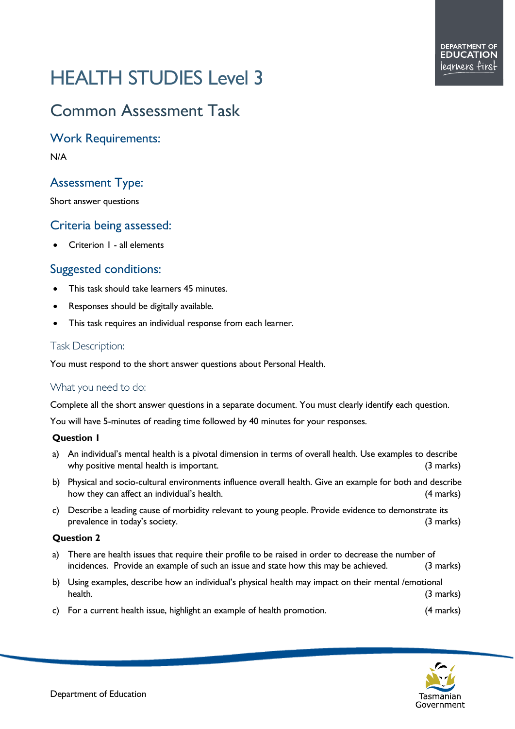# HEALTH STUDIES Level 3

# Common Assessment Task

Work Requirements:

N/A

# Assessment Type:

Short answer questions

# Criteria being assessed:

• Criterion 1 - all elements

# Suggested conditions:

- This task should take learners 45 minutes.
- Responses should be digitally available.
- This task requires an individual response from each learner.

## Task Description:

You must respond to the short answer questions about Personal Health.

## What you need to do:

Complete all the short answer questions in a separate document. You must clearly identify each question.

You will have 5-minutes of reading time followed by 40 minutes for your responses.

#### **Question 1**

- a) An individual's mental health is a pivotal dimension in terms of overall health. Use examples to describe why positive mental health is important. (3 marks)  $(3 \text{ marks})$
- b) Physical and socio-cultural environments influence overall health. Give an example for both and describe how they can affect an individual's health. (4 marks)
- c) Describe a leading cause of morbidity relevant to young people. Provide evidence to demonstrate its prevalence in today's society. (3 marks)

#### **Question 2**

- a) There are health issues that require their profile to be raised in order to decrease the number of incidences. Provide an example of such an issue and state how this may be achieved. (3 marks)
- b) Using examples, describe how an individual's physical health may impact on their mental /emotional health. (3 marks)
- c) For a current health issue, highlight an example of health promotion. (4 marks)

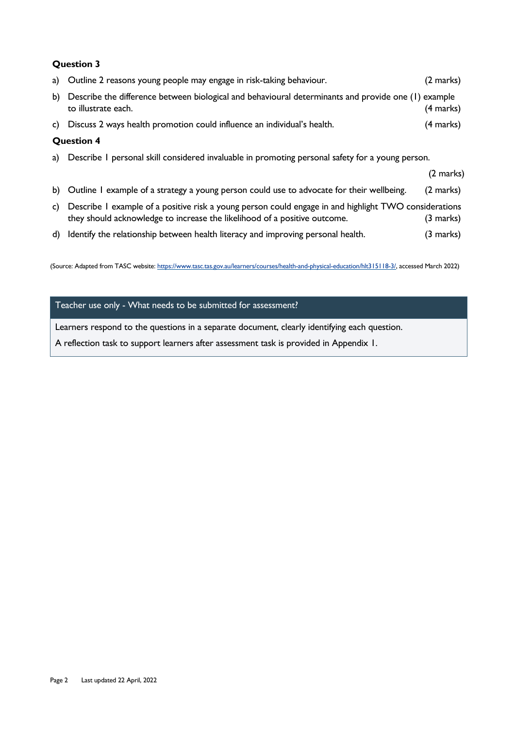#### **Question 3**

|                   | a) Outline 2 reasons young people may engage in risk-taking behaviour.                                                                                                             | (2 marks)           |
|-------------------|------------------------------------------------------------------------------------------------------------------------------------------------------------------------------------|---------------------|
| b)                | Describe the difference between biological and behavioural determinants and provide one (1) example<br>to illustrate each.                                                         | (4 marks)           |
|                   | c) Discuss 2 ways health promotion could influence an individual's health.                                                                                                         | (4 marks)           |
| <b>Question 4</b> |                                                                                                                                                                                    |                     |
|                   | a) Describe I personal skill considered invaluable in promoting personal safety for a young person.                                                                                |                     |
|                   |                                                                                                                                                                                    | (2 marks)           |
|                   | b) Outline I example of a strategy a young person could use to advocate for their wellbeing.                                                                                       | $(2 \text{ marks})$ |
| C)                | Describe I example of a positive risk a young person could engage in and highlight TWO considerations<br>they should acknowledge to increase the likelihood of a positive outcome. | (3 marks)           |

d) Identify the relationship between health literacy and improving personal health. (3 marks)

(Source: Adapted from TASC website: [https://www.tasc.tas.gov.au/learners/courses/health-and-physical-education/hlt315118-3/,](https://www.tasc.tas.gov.au/students/courses/health-and-physical-education/hlt315118-3/) accessed March 2022)

#### Teacher use only - What needs to be submitted for assessment?

Learners respond to the questions in a separate document, clearly identifying each question.

A reflection task to support learners after assessment task is provided in Appendix 1.